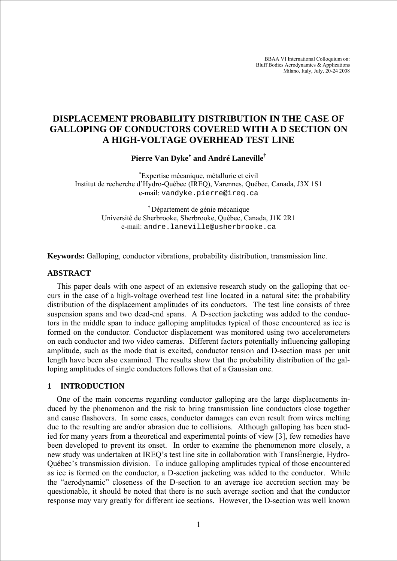BBAA VI International Colloquium on: Bluff Bodies Aerodynamics & Applications Milano, Italy, July, 20-24 2008

# **DISPLACEMENT PROBABILITY DISTRIBUTION IN THE CASE OF GALLOPING OF CONDUCTORS COVERED WITH A D SECTION ON A HIGH-VOLTAGE OVERHEAD TEST LINE**

**Pierre Van Dyke**<sup>∗</sup>  **and André Laneville†**

∗ Expertise mécanique, métallurie et civil Institut de recherche d'Hydro-Québec (IREQ), Varennes, Québec, Canada, J3X 1S1 e-mail: vandyke.pierre@ireq.ca

> † Département de génie mécanique Université de Sherbrooke, Sherbrooke, Québec, Canada, J1K 2R1 e-mail: andre.laneville@usherbrooke.ca

**Keywords:** Galloping, conductor vibrations, probability distribution, transmission line.

## **ABSTRACT**

This paper deals with one aspect of an extensive research study on the galloping that occurs in the case of a high-voltage overhead test line located in a natural site: the probability distribution of the displacement amplitudes of its conductors. The test line consists of three suspension spans and two dead-end spans. A D-section jacketing was added to the conductors in the middle span to induce galloping amplitudes typical of those encountered as ice is formed on the conductor. Conductor displacement was monitored using two accelerometers on each conductor and two video cameras. Different factors potentially influencing galloping amplitude, such as the mode that is excited, conductor tension and D-section mass per unit length have been also examined. The results show that the probability distribution of the galloping amplitudes of single conductors follows that of a Gaussian one.

## **1 INTRODUCTION**

One of the main concerns regarding conductor galloping are the large displacements induced by the phenomenon and the risk to bring transmission line conductors close together and cause flashovers. In some cases, conductor damages can even result from wires melting due to the resulting arc and/or abrasion due to collisions. Although galloping has been studied for many years from a theoretical and experimental points of view [\[3\],](#page-3-0) few remedies have been developed to prevent its onset. In order to examine the phenomenon more closely, a new study was undertaken at IREQ's test line site in collaboration with TransÉnergie, Hydro-Québec's transmission division. To induce galloping amplitudes typical of those encountered as ice is formed on the conductor, a D-section jacketing was added to the conductor. While the "aerodynamic" closeness of the D-section to an average ice accretion section may be questionable, it should be noted that there is no such average section and that the conductor response may vary greatly for different ice sections. However, the D-section was well known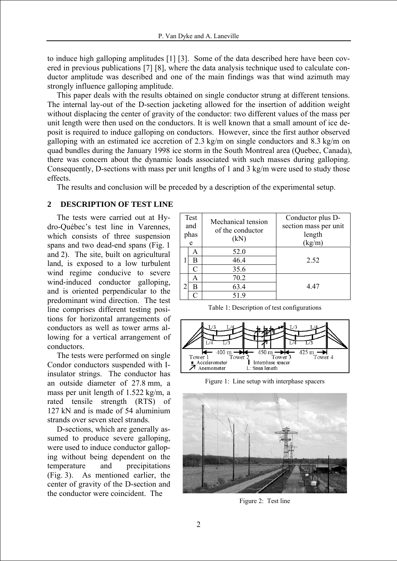to induce high galloping amplitudes [\[1\]](#page-3-1) [\[3\].](#page-3-0) Some of the data described here have been covered in previous publications [\[7\]](#page-3-2) [\[8\],](#page-3-3) where the data analysis technique used to calculate conductor amplitude was described and one of the main findings was that wind azimuth may strongly influence galloping amplitude.

This paper deals with the results obtained on single conductor strung at different tensions. The internal lay-out of the D-section jacketing allowed for the insertion of addition weight without displacing the center of gravity of the conductor: two different values of the mass per unit length were then used on the conductors. It is well known that a small amount of ice deposit is required to induce galloping on conductors. However, since the first author observed galloping with an estimated ice accretion of 2.3 kg/m on single conductors and 8.3 kg/m on quad bundles during the January 1998 ice storm in the South Montreal area (Quebec, Canada), there was concern about the dynamic loads associated with such masses during galloping. Consequently, D-sections with mass per unit lengths of 1 and 3 kg/m were used to study those effects.

The results and conclusion will be preceded by a description of the experimental setup.

# **2 DESCRIPTION OF TEST LINE**

The tests were carried out at Hydro-Québec's test line in Varennes, which consists of three suspension spans and two dead-end spans (Fig. 1 and 2). The site, built on agricultural land, is exposed to a low turbulent wind regime conducive to severe wind-induced conductor galloping, and is oriented perpendicular to the predominant wind direction. The test line comprises different testing positions for horizontal arrangements of conductors as well as tower arms allowing for a vertical arrangement of conductors.

The tests were performed on single Condor conductors suspended with Iinsulator strings. The conductor has an outside diameter of 27.8 mm, a mass per unit length of 1.522 kg/m, a rated tensile strength (RTS) of 127 kN and is made of 54 aluminium strands over seven steel strands.

D-sections, which are generally assumed to produce severe galloping, were used to induce conductor galloping without being dependent on the temperature and precipitations (Fig. 3). As mentioned earlier, the center of gravity of the D-section and the conductor were coincident. The

| Test<br>and<br>phas<br>e |   | Mechanical tension<br>of the conductor<br>(kN) | Conductor plus D-<br>section mass per unit<br>length<br>(kg/m) |
|--------------------------|---|------------------------------------------------|----------------------------------------------------------------|
|                          | A | 52.0                                           |                                                                |
|                          | В | 46.4                                           | 2.52                                                           |
|                          | C | 35.6                                           |                                                                |
|                          | A | 70.2                                           |                                                                |
|                          | в | 63.4                                           | 4.47                                                           |
|                          |   | 51.9                                           |                                                                |

Table 1: Description of test configurations



Figure 1: Line setup with interphase spacers



Figure 2: Test line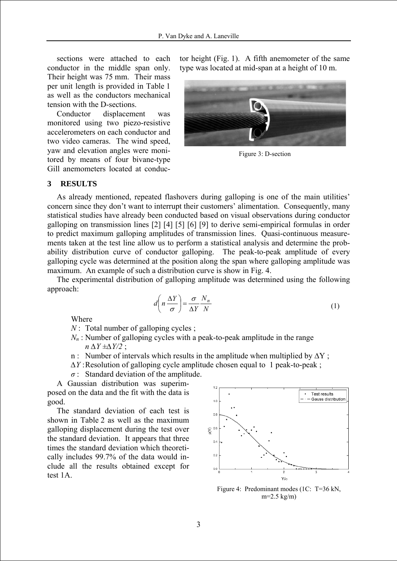sections were attached to each conductor in the middle span only. Their height was 75 mm. Their mass per unit length is provided in Table 1 as well as the conductors mechanical tension with the D-sections.

Conductor displacement was monitored using two piezo-resistive accelerometers on each conductor and two video cameras. The wind speed, yaw and elevation angles were monitored by means of four bivane-type Gill anemometers located at conductor height (Fig. 1). A fifth anemometer of the same type was located at mid-span at a height of 10 m.



Figure 3: D-section

#### **3 RESULTS**

As already mentioned, repeated flashovers during galloping is one of the main utilities' concern since they don't want to interrupt their customers' alimentation. Consequently, many statistical studies have already been conducted based on visual observations during conductor galloping on transmission lines [\[2\]](#page-3-4) [\[4\]](#page-3-5) [\[5\]](#page-3-6) [\[6\]](#page-3-7) [\[9\]](#page-3-8) to derive semi-empirical formulas in order to predict maximum galloping amplitudes of transmission lines. Quasi-continuous measurements taken at the test line allow us to perform a statistical analysis and determine the probability distribution curve of conductor galloping. The peak-to-peak amplitude of every galloping cycle was determined at the position along the span where galloping amplitude was maximum. An example of such a distribution curve is show in Fig. 4.

The experimental distribution of galloping amplitude was determined using the following approach:

$$
d\left(n\,\frac{\Delta Y}{\sigma}\right) = \frac{\sigma}{\Delta Y} \frac{N_n}{N} \tag{1}
$$

Where

- *N* : Total number of galloping cycles ;
- $N_n$ : Number of galloping cycles with a peak-to-peak amplitude in the range *n ∆Y ±∆Y/2* ;
- n : Number of intervals which results in the amplitude when multiplied by ∆Y ;
- *∆Y* : Resolution of galloping cycle amplitude chosen equal to 1 peak-to-peak ;
- *σ* : Standard deviation of the amplitude.

A Gaussian distribution was superimposed on the data and the fit with the data is good.

The standard deviation of each test is shown in Table 2 as well as the maximum galloping displacement during the test over the standard deviation. It appears that three times the standard deviation which theoretically includes 99.7% of the data would include all the results obtained except for test 1A.



Figure 4: Predominant modes (1C: T=36 kN, m=2.5 kg/m)